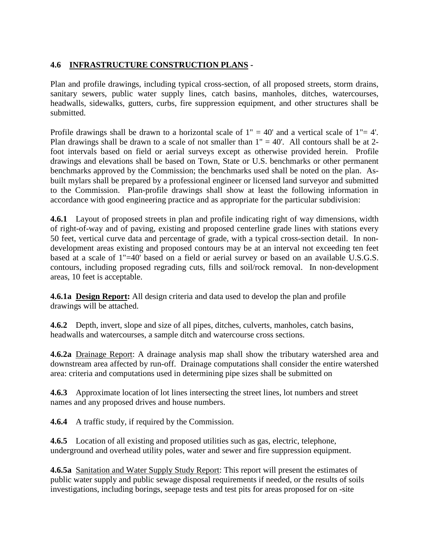## **4.6 INFRASTRUCTURE CONSTRUCTION PLANS -**

Plan and profile drawings, including typical cross-section, of all proposed streets, storm drains, sanitary sewers, public water supply lines, catch basins, manholes, ditches, watercourses, headwalls, sidewalks, gutters, curbs, fire suppression equipment, and other structures shall be submitted.

Profile drawings shall be drawn to a horizontal scale of  $1" = 40'$  and a vertical scale of  $1" = 4'$ . Plan drawings shall be drawn to a scale of not smaller than  $1" = 40'$ . All contours shall be at 2foot intervals based on field or aerial surveys except as otherwise provided herein. Profile drawings and elevations shall be based on Town, State or U.S. benchmarks or other permanent benchmarks approved by the Commission; the benchmarks used shall be noted on the plan. Asbuilt mylars shall be prepared by a professional engineer or licensed land surveyor and submitted to the Commission. Plan-profile drawings shall show at least the following information in accordance with good engineering practice and as appropriate for the particular subdivision:

**4.6.1** Layout of proposed streets in plan and profile indicating right of way dimensions, width of right-of-way and of paving, existing and proposed centerline grade lines with stations every 50 feet, vertical curve data and percentage of grade, with a typical cross-section detail. In nondevelopment areas existing and proposed contours may be at an interval not exceeding ten feet based at a scale of 1"=40' based on a field or aerial survey or based on an available U.S.G.S. contours, including proposed regrading cuts, fills and soil/rock removal. In non-development areas, 10 feet is acceptable.

**4.6.1a Design Report:** All design criteria and data used to develop the plan and profile drawings will be attached.

**4.6.2** Depth, invert, slope and size of all pipes, ditches, culverts, manholes, catch basins, headwalls and watercourses, a sample ditch and watercourse cross sections.

**4.6.2a** Drainage Report: A drainage analysis map shall show the tributary watershed area and downstream area affected by run-off. Drainage computations shall consider the entire watershed area: criteria and computations used in determining pipe sizes shall be submitted on

**4.6.3** Approximate location of lot lines intersecting the street lines, lot numbers and street names and any proposed drives and house numbers.

**4.6.4** A traffic study, if required by the Commission.

**4.6.5** Location of all existing and proposed utilities such as gas, electric, telephone, underground and overhead utility poles, water and sewer and fire suppression equipment.

**4.6.5a** Sanitation and Water Supply Study Report: This report will present the estimates of public water supply and public sewage disposal requirements if needed, or the results of soils investigations, including borings, seepage tests and test pits for areas proposed for on -site